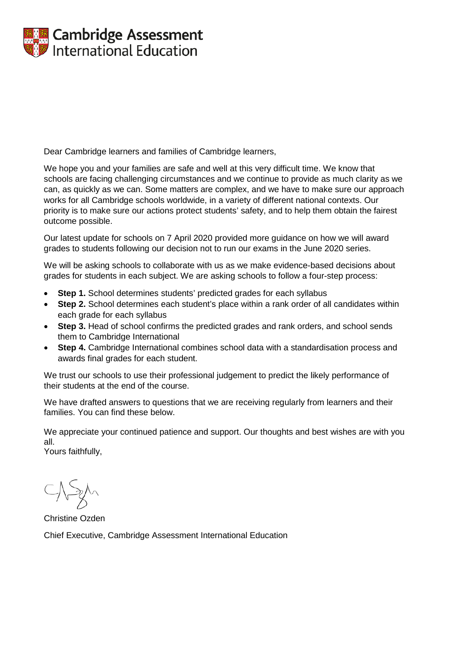

Dear Cambridge learners and families of Cambridge learners,

We hope you and your families are safe and well at this very difficult time. We know that schools are facing challenging circumstances and we continue to provide as much clarity as we can, as quickly as we can. Some matters are complex, and we have to make sure our approach works for all Cambridge schools worldwide, in a variety of different national contexts. Our priority is to make sure our actions protect students' safety, and to help them obtain the fairest outcome possible.

Our latest update for schools on 7 April 2020 provided more guidance on how we will award grades to students following our decision not to run our exams in the June 2020 series.

We will be asking schools to collaborate with us as we make evidence-based decisions about grades for students in each subject. We are asking schools to follow a four-step process:

- **Step 1.** School determines students' predicted grades for each syllabus
- **Step 2.** School determines each student's place within a rank order of all candidates within each grade for each syllabus
- **Step 3.** Head of school confirms the predicted grades and rank orders, and school sends them to Cambridge International
- **Step 4.** Cambridge International combines school data with a standardisation process and awards final grades for each student.

We trust our schools to use their professional judgement to predict the likely performance of their students at the end of the course.

We have drafted answers to questions that we are receiving regularly from learners and their families. You can find these below.

We appreciate your continued patience and support. Our thoughts and best wishes are with you all.

Yours faithfully,

Christine Ozden

Chief Executive, Cambridge Assessment International Education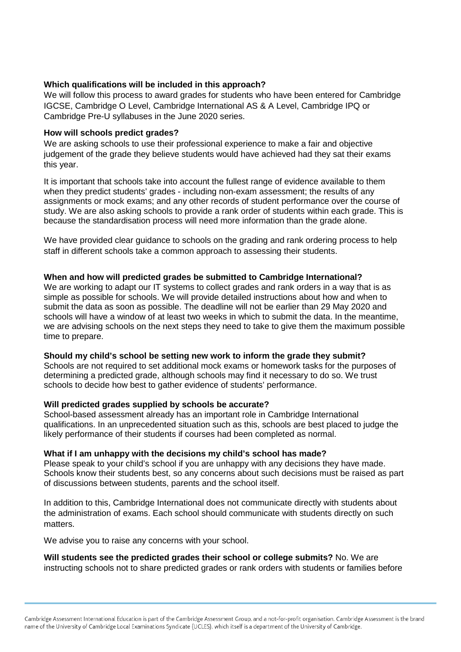## **Which qualifications will be included in this approach?**

We will follow this process to award grades for students who have been entered for Cambridge IGCSE, Cambridge O Level, Cambridge International AS & A Level, Cambridge IPQ or Cambridge Pre-U syllabuses in the June 2020 series.

### **How will schools predict grades?**

We are asking schools to use their professional experience to make a fair and objective judgement of the grade they believe students would have achieved had they sat their exams this year.

It is important that schools take into account the fullest range of evidence available to them when they predict students' grades - including non-exam assessment; the results of any assignments or mock exams; and any other records of student performance over the course of study. We are also asking schools to provide a rank order of students within each grade. This is because the standardisation process will need more information than the grade alone.

We have provided clear guidance to schools on the grading and rank ordering process to help staff in different schools take a common approach to assessing their students.

### **When and how will predicted grades be submitted to Cambridge International?**

We are working to adapt our IT systems to collect grades and rank orders in a way that is as simple as possible for schools. We will provide detailed instructions about how and when to submit the data as soon as possible. The deadline will not be earlier than 29 May 2020 and schools will have a window of at least two weeks in which to submit the data. In the meantime, we are advising schools on the next steps they need to take to give them the maximum possible time to prepare.

#### **Should my child's school be setting new work to inform the grade they submit?**

Schools are not required to set additional mock exams or homework tasks for the purposes of determining a predicted grade, although schools may find it necessary to do so. We trust schools to decide how best to gather evidence of students' performance.

#### **Will predicted grades supplied by schools be accurate?**

School-based assessment already has an important role in Cambridge International qualifications. In an unprecedented situation such as this, schools are best placed to judge the likely performance of their students if courses had been completed as normal.

#### **What if I am unhappy with the decisions my child's school has made?**

Please speak to your child's school if you are unhappy with any decisions they have made. Schools know their students best, so any concerns about such decisions must be raised as part of discussions between students, parents and the school itself.

In addition to this, Cambridge International does not communicate directly with students about the administration of exams. Each school should communicate with students directly on such matters.

We advise you to raise any concerns with your school.

## **Will students see the predicted grades their school or college submits?** No. We are instructing schools not to share predicted grades or rank orders with students or families before